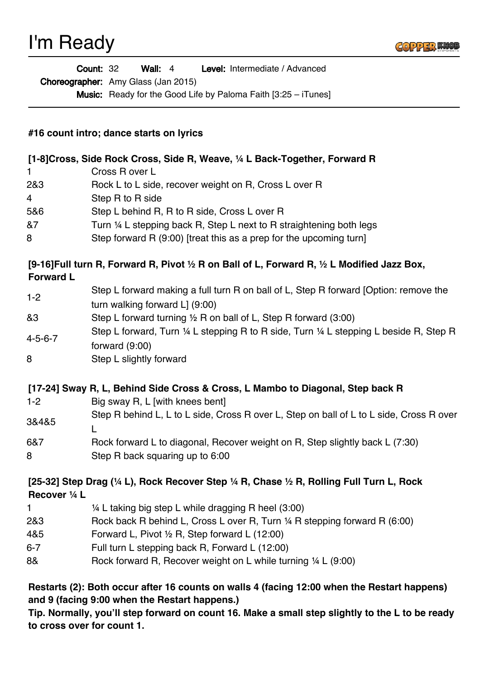

Wall: 4 Level: Intermediate / Advanced Count: 32

Choreographer: Amy Glass (Jan 2015)

**Music:** Ready for the Good Life by Paloma Faith [3:25 – iTunes]

## **#16 count intro; dance starts on lyrics**

| [1-8] Cross, Side Rock Cross, Side R, Weave, 1/4 L Back-Together, Forward R |                                                                      |
|-----------------------------------------------------------------------------|----------------------------------------------------------------------|
| $\mathbf 1$                                                                 | Cross R over L                                                       |
| 2&3                                                                         | Rock L to L side, recover weight on R, Cross L over R                |
| $\overline{4}$                                                              | Step R to R side                                                     |
| 5&6                                                                         | Step L behind R, R to R side, Cross L over R                         |
| &7                                                                          | Turn 1/4 L stepping back R, Step L next to R straightening both legs |
| 8                                                                           | Step forward R (9:00) [treat this as a prep for the upcoming turn]   |

## **[9-16]Full turn R, Forward R, Pivot ½ R on Ball of L, Forward R, ½ L Modified Jazz Box, Forward L**

| $1 - 2$ | Step L forward making a full turn R on ball of L, Step R forward [Option: remove the |
|---------|--------------------------------------------------------------------------------------|
|         | turn walking forward L] (9:00)                                                       |

- &3 Step L forward turning ½ R on ball of L, Step R forward (3:00)
- 4-5-6-7 Step L forward, Turn ¼ L stepping R to R side, Turn ¼ L stepping L beside R, Step R forward (9:00)
- 8 Step L slightly forward

## **[17-24] Sway R, L, Behind Side Cross & Cross, L Mambo to Diagonal, Step back R**

- 1-2 Big sway R, L [with knees bent]
- 3&4&5 Step R behind L, L to L side, Cross R over L, Step on ball of L to L side, Cross R over  $\mathbf{L}$
- 6&7 Rock forward L to diagonal, Recover weight on R, Step slightly back L (7:30) 8 Step R back squaring up to 6:00

## **[25-32] Step Drag (¼ L), Rock Recover Step ¼ R, Chase ½ R, Rolling Full Turn L, Rock Recover ¼ L**

- 1 ¼ L taking big step L while dragging R heel (3:00)
- 2&3 Rock back R behind L, Cross L over R, Turn ¼ R stepping forward R (6:00)
- 4&5 Forward L, Pivot ½ R, Step forward L (12:00)
- 6-7 Full turn L stepping back R, Forward L (12:00)
- 8& Rock forward R, Recover weight on L while turning 1/4 L (9:00)

**Restarts (2): Both occur after 16 counts on walls 4 (facing 12:00 when the Restart happens) and 9 (facing 9:00 when the Restart happens.)** 

**Tip. Normally, you'll step forward on count 16. Make a small step slightly to the L to be ready to cross over for count 1.**